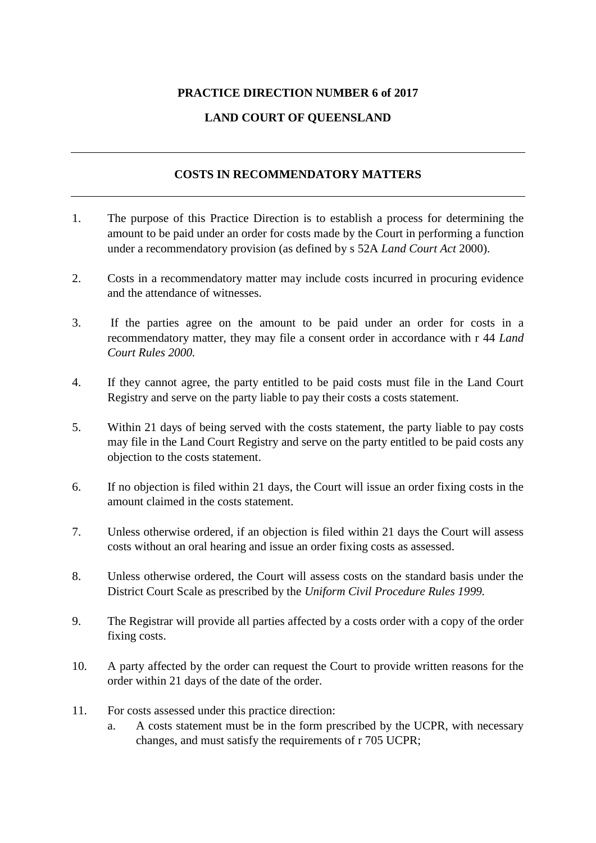## **PRACTICE DIRECTION NUMBER 6 of 2017**

## **LAND COURT OF QUEENSLAND**

## **COSTS IN RECOMMENDATORY MATTERS**

- 1. The purpose of this Practice Direction is to establish a process for determining the amount to be paid under an order for costs made by the Court in performing a function under a recommendatory provision (as defined by s 52A *Land Court Act* 2000).
- 2. Costs in a recommendatory matter may include costs incurred in procuring evidence and the attendance of witnesses.
- 3. If the parties agree on the amount to be paid under an order for costs in a recommendatory matter, they may file a consent order in accordance with r 44 *Land Court Rules 2000.*
- 4. If they cannot agree, the party entitled to be paid costs must file in the Land Court Registry and serve on the party liable to pay their costs a costs statement.
- 5. Within 21 days of being served with the costs statement, the party liable to pay costs may file in the Land Court Registry and serve on the party entitled to be paid costs any objection to the costs statement.
- 6. If no objection is filed within 21 days, the Court will issue an order fixing costs in the amount claimed in the costs statement.
- 7. Unless otherwise ordered, if an objection is filed within 21 days the Court will assess costs without an oral hearing and issue an order fixing costs as assessed.
- 8. Unless otherwise ordered, the Court will assess costs on the standard basis under the District Court Scale as prescribed by the *Uniform Civil Procedure Rules 1999.*
- 9. The Registrar will provide all parties affected by a costs order with a copy of the order fixing costs.
- 10. A party affected by the order can request the Court to provide written reasons for the order within 21 days of the date of the order.
- 11. For costs assessed under this practice direction:
	- a. A costs statement must be in the form prescribed by the UCPR, with necessary changes, and must satisfy the requirements of r 705 UCPR;